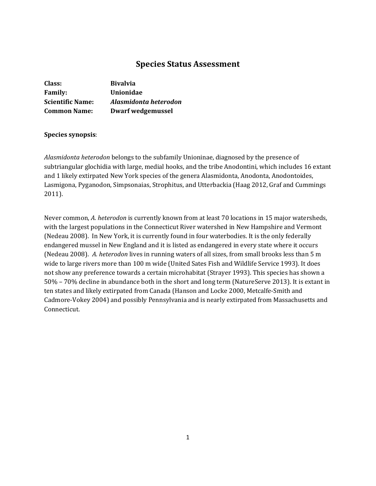# **Species Status Assessment**

| Class:                  | <b>Bivalvia</b>       |
|-------------------------|-----------------------|
| <b>Family:</b>          | Unionidae             |
| <b>Scientific Name:</b> | Alasmidonta heterodon |
| <b>Common Name:</b>     | Dwarf wedgemussel     |

# **Species synopsis**:

*Alasmidonta heterodon* belongs to the subfamily Unioninae, diagnosed by the presence of subtriangular glochidia with large, medial hooks, and the tribe Anodontini, which includes 16 extant and 1 likely extirpated New York species of the genera Alasmidonta, Anodonta, Anodontoides, Lasmigona, Pyganodon, Simpsonaias, Strophitus, and Utterbackia (Haag 2012, Graf and Cummings 2011).

Never common, *A. heterodon* is currently known from at least 70 locations in 15 major watersheds, with the largest populations in the Connecticut River watershed in New Hampshire and Vermont (Nedeau 2008). In New York, it is currently found in four waterbodies. It is the only federally endangered mussel in New England and it is listed as endangered in every state where it occurs (Nedeau 2008).*A. heterodon* lives in running waters of all sizes, from small brooks less than 5 m wide to large rivers more than 100 m wide (United Sates Fish and Wildlife Service 1993). It does not show any preference towards a certain microhabitat (Strayer 1993). This species has shown a 50% – 70% decline in abundance both in the short and long term (NatureServe 2013). It is extant in ten states and likely extirpated from Canada (Hanson and Locke 2000, Metcalfe-Smith and Cadmore-Vokey 2004) and possibly Pennsylvania and is nearly extirpated from Massachusetts and Connecticut.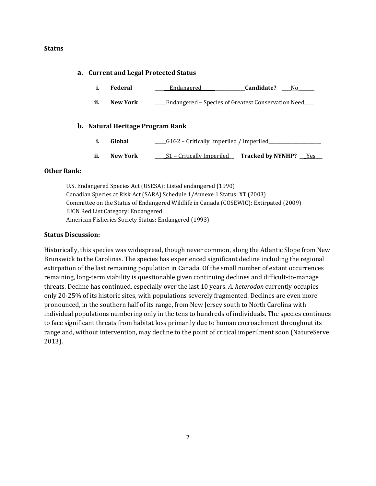### **Status**

### **a. Current and Legal Protected Status**

- **i. Federal \_\_\_\_ \_**\_Endangered**\_\_\_\_\_\_\_\_\_\_\_\_\_\_\_\_\_\_\_Candidate? \_\_\_\_**No**\_\_\_\_\_\_\_**
- **ii. New York \_\_\_\_\_**Endangered Species of Greatest Conservation Need**\_\_\_\_**

### **b. Natural Heritage Program Rank**

- **i. Global** <u>\_\_\_\_\_G1G2 Critically Imperiled / Imperiled</u>
- **ii. New York \_\_\_\_**\_S1 Critically Imperiled**\_\_ Tracked by NYNHP? \_\_**\_Yes**\_\_\_**

## **Other Rank:**

U.S. Endangered Species Act (USESA): Listed endangered (1990) Canadian Species at Risk Act (SARA) Schedule 1/Annexe 1 Status: XT (2003) Committee on the Status of Endangered Wildlife in Canada (COSEWIC): Extirpated (2009) IUCN Red List Category: Endangered American Fisheries Society Status: Endangered (1993)

### **Status Discussion:**

Historically, this species was widespread, though never common, along the Atlantic Slope from New Brunswick to the Carolinas. The species has experienced significant decline including the regional extirpation of the last remaining population in Canada. Of the small number of extant occurrences remaining, long-term viability is questionable given continuing declines and difficult-to-manage threats. Decline has continued, especially over the last 10 years. *A. heterodon* currently occupies only 20-25% of its historic sites, with populations severely fragmented. Declines are even more pronounced, in the southern half of its range, from New Jersey south to North Carolina with individual populations numbering only in the tens to hundreds of individuals. The species continues to face significant threats from habitat loss primarily due to human encroachment throughout its range and, without intervention, may decline to the point of critical imperilment soon (NatureServe 2013).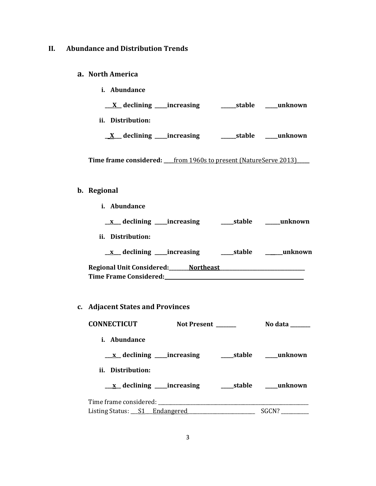## **II. Abundance and Distribution Trends**

## **a. North America**

**i. Abundance \_\_\_X\_\_ declining \_\_\_\_\_increasing \_\_\_\_\_\_stable \_\_\_\_\_unknown ii. Distribution: \_\_X\_\_\_ declining \_\_\_\_\_increasing \_\_\_\_\_\_stable \_\_\_\_\_unknown**

**Time frame considered: \_\_\_\_**from 1960s to present (NatureServe 2013)**\_\_\_\_\_**

## **b. Regional**

- **i. Abundance \_\_x\_\_\_ declining \_\_\_\_\_increasing \_\_\_\_\_stable \_\_\_\_\_\_unknown ii. Distribution: \_\_x\_\_\_ declining \_\_\_\_\_increasing \_\_\_\_\_stable \_\_\_\_\_\_\_unknown Regional Unit Considered:\_\_\_\_\_\_\_\_Northeast\_\_\_\_\_\_\_\_\_\_\_\_\_\_\_\_\_\_\_\_\_\_\_\_\_\_\_\_\_\_\_\_\_\_ Time Frame Considered: \_\_\_\_\_\_\_\_\_\_\_\_\_\_\_\_\_\_\_\_\_\_\_\_\_\_\_\_\_\_\_\_\_\_\_\_\_\_\_\_\_\_\_\_\_\_\_\_\_\_\_\_\_\_\_**
- **c. Adjacent States and Provinces**

| <b>CONNECTICUT</b>            | <b>Not Present</b> | No data ______ |
|-------------------------------|--------------------|----------------|
| i. Abundance                  |                    |                |
|                               |                    |                |
| ii. Distribution:             |                    |                |
|                               |                    |                |
|                               |                    |                |
| Listing Status: S1 Endangered |                    | SGCN?          |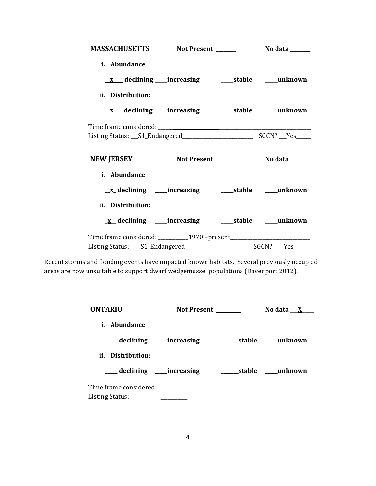| MASSACHUSETTS Not Present ________ No data ______                                                                     |  |  |
|-----------------------------------------------------------------------------------------------------------------------|--|--|
| i. Abundance                                                                                                          |  |  |
|                                                                                                                       |  |  |
| ii. Distribution:                                                                                                     |  |  |
|                                                                                                                       |  |  |
|                                                                                                                       |  |  |
|                                                                                                                       |  |  |
| NEW JERSEY Not Present ________ No data ______                                                                        |  |  |
| i. Abundance                                                                                                          |  |  |
| <u>x</u> declining ____increasing ______stable _____unknown                                                           |  |  |
| ii. Distribution:                                                                                                     |  |  |
| x_declining ____increasing ______stable _____unknown                                                                  |  |  |
|                                                                                                                       |  |  |
| Listing Status: <u>S1 Endangered [1994]</u> SGCN? Nestless Contains President Contains President Contains President C |  |  |

Recent storms and flooding events have impacted known habitats. Several previously occupied areas are now unsuitable to support dwarf wedgemussel populations (Davenport 2012).

| <b>ONTARIO</b>    | <b>Not Present</b>                                                   | No data $X$ |
|-------------------|----------------------------------------------------------------------|-------------|
| i. Abundance      |                                                                      |             |
|                   | ____ declining _____increasing _________________stable ______unknown |             |
| ii. Distribution: |                                                                      |             |
|                   |                                                                      |             |
|                   |                                                                      |             |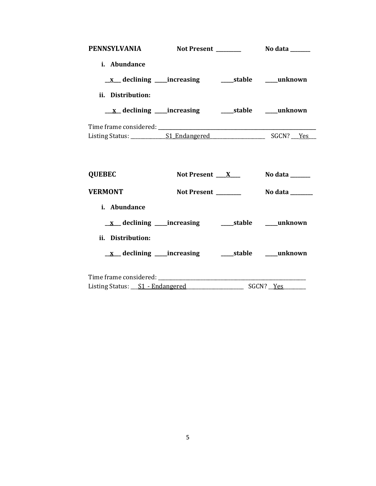| <b>PENNSYLVANIA</b> | <b>Not Present</b> | No data ______      |
|---------------------|--------------------|---------------------|
| i. Abundance        |                    |                     |
|                     |                    |                     |
| ii. Distribution:   |                    |                     |
|                     |                    |                     |
|                     |                    |                     |
|                     |                    | SGCN?<br><b>Yes</b> |

| <b>QUEBEC</b>                                                | Not Present $X_{-}$ | No data $\_\_\_\_\_\_\_\_\_\_\_\_\$ |
|--------------------------------------------------------------|---------------------|-------------------------------------|
| <b>VERMONT</b>                                               | Not Present         | No data                             |
| <i>i.</i> Abundance                                          |                     |                                     |
|                                                              |                     |                                     |
| ii. Distribution:                                            |                     |                                     |
|                                                              |                     |                                     |
|                                                              |                     |                                     |
| Listing Status: <u>S1 - Endangered</u> _____________________ |                     | SGCN? Yes                           |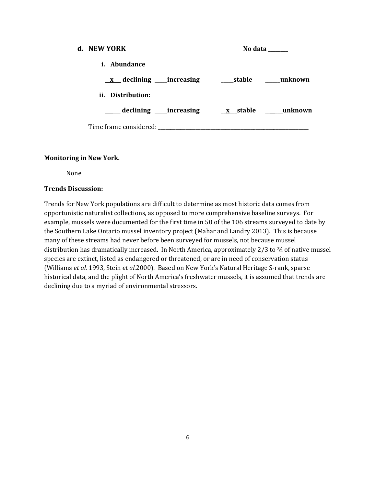| d. NEW YORK                                  |  | No data ______ |
|----------------------------------------------|--|----------------|
| <i>i.</i> Abundance                          |  |                |
|                                              |  |                |
| ii. Distribution:                            |  |                |
| declining increasing x stable ______ unknown |  |                |
| Time frame considered:                       |  |                |

### **Monitoring in New York.**

None

## **Trends Discussion:**

Trends for New York populations are difficult to determine as most historic data comes from opportunistic naturalist collections, as opposed to more comprehensive baseline surveys. For example, mussels were documented for the first time in 50 of the 106 streams surveyed to date by the Southern Lake Ontario mussel inventory project (Mahar and Landry 2013). This is because many of these streams had never before been surveyed for mussels, not because mussel distribution has dramatically increased. In North America, approximately 2/3 to 34 of native mussel species are extinct, listed as endangered or threatened, or are in need of conservation status (Williams *et al.* 1993, Stein *et al.*2000). Based on New York's Natural Heritage S-rank, sparse historical data, and the plight of North America's freshwater mussels, it is assumed that trends are declining due to a myriad of environmental stressors.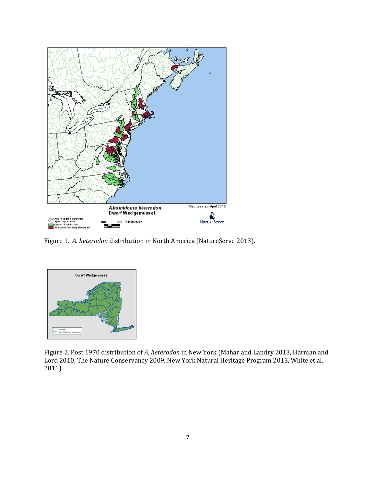

Figure 1. *A. heterodon* distribution in North America (NatureServe 2013).



Figure 2. Post 1970 distribution of *A. heterodon* in New York (Mahar and Landry 2013, Harman and Lord 2010, The Nature Conservancy 2009, New York Natural Heritage Program 2013, White et al. 2011).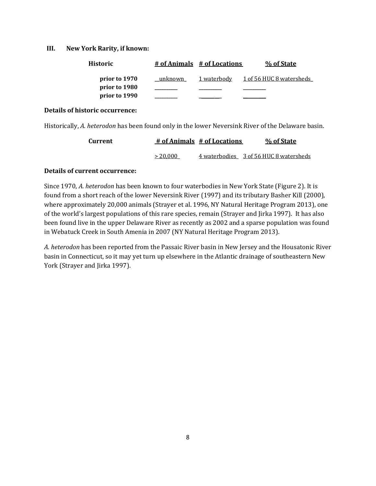### **III. New York Rarity, if known:**

| <b>Historic</b> |         | # of Animals # of Locations | % of State                      |
|-----------------|---------|-----------------------------|---------------------------------|
| prior to 1970   | unknown | 1 waterbody                 | <u>1 of 56 HUC 8 watersheds</u> |
| prior to 1980   |         |                             |                                 |
| prior to 1990   |         |                             |                                 |

#### **Details of historic occurrence:**

Historically, *A. heterodon* has been found only in the lower Neversink River of the Delaware basin.

| Current |          | # of Animals # of Locations | % of State                             |
|---------|----------|-----------------------------|----------------------------------------|
|         | > 20,000 |                             | 4 waterbodies 3 of 56 HUC 8 watersheds |

### **Details of current occurrence:**

Since 1970, *A. heterodon* has been known to four waterbodies in New York State (Figure 2). It is found from a short reach of the lower Neversink River (1997) and its tributary Basher Kill (2000), where approximately 20,000 animals (Strayer et al. 1996, NY Natural Heritage Program 2013), one of the world's largest populations of this rare species, remain (Strayer and Jirka 1997). It has also been found live in the upper Delaware River as recently as 2002 and a sparse population was found in Webatuck Creek in South Amenia in 2007 (NY Natural Heritage Program 2013).

*A. heterodon* has been reported from the Passaic River basin in New Jersey and the Housatonic River basin in Connecticut, so it may yet turn up elsewhere in the Atlantic drainage of southeastern New York (Strayer and Jirka 1997).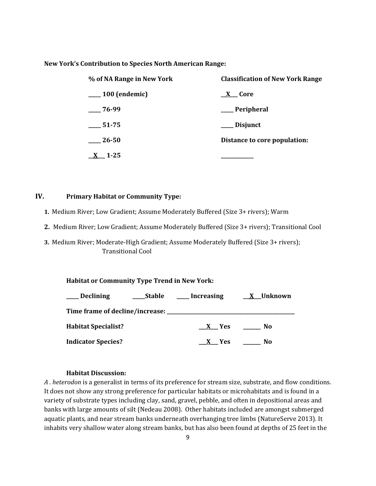#### **New York's Contribution to Species North American Range:**

| % of NA Range in New York | <b>Classification of New York Range</b> |
|---------------------------|-----------------------------------------|
| $\frac{100}{2}$ (endemic) | <u>X</u> Core                           |
| $-76-99$                  | __ Peripheral                           |
| $\frac{1}{2}$ 51-75       | ___ Disjunct                            |
| $\frac{26-50}{2}$         | Distance to core population:            |
| $1 - 25$                  |                                         |

## **IV. Primary Habitat or Community Type:**

- **1.** Medium River; Low Gradient; Assume Moderately Buffered (Size 3+ rivers); Warm
- **2.** Medium River; Low Gradient; Assume Moderately Buffered (Size 3+ rivers); Transitional Cool
- **3.** Medium River; Moderate-High Gradient; Assume Moderately Buffered (Size 3+ rivers); Transitional Cool

#### **Habitat or Community Type Trend in New York:**

| <b>Declining</b>           | <b>Stable</b> | <b>Increasing</b> | X Unknown |
|----------------------------|---------------|-------------------|-----------|
|                            |               |                   |           |
| <b>Habitat Specialist?</b> |               | X Yes             | No        |
| <b>Indicator Species?</b>  |               | X Yes             | No        |

#### **Habitat Discussion:**

*A . heterodon* is a generalist in terms of its preference for stream size, substrate, and flow conditions. It does not show any strong preference for particular habitats or microhabitats and is found in a variety of substrate types including clay, sand, gravel, pebble, and often in depositional areas and banks with large amounts of silt (Nedeau 2008). Other habitats included are amongst submerged aquatic plants, and near stream banks underneath overhanging tree limbs (NatureServe 2013). It inhabits very shallow water along stream banks, but has also been found at depths of 25 feet in the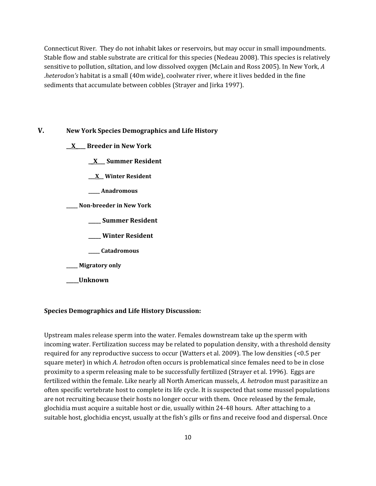Connecticut River. They do not inhabit lakes or reservoirs, but may occur in small impoundments. Stable flow and stable substrate are critical for this species (Nedeau 2008). This species is relatively sensitive to pollution, siltation, and low dissolved oxygen (McLain and Ross 2005). In New York, *A .heterodon's* habitat is a small (40m wide), coolwater river, where it lives bedded in the fine sediments that accumulate between cobbles (Strayer and Jirka 1997).

### **V. New York Species Demographics and Life History**

- **\_\_X\_\_\_\_ Breeder in New York**
	- **\_\_X\_\_\_ Summer Resident**
	- **\_\_\_X\_\_ Winter Resident**
	- **\_\_\_\_\_ Anadromous**
- **\_\_\_\_\_ Non-breeder in New York**
	- **\_\_\_\_\_ Summer Resident**
	- **\_\_\_\_\_ Winter Resident**
	- **\_\_\_\_\_ Catadromous**
- **\_\_\_\_\_ Migratory only**
- **\_\_\_\_\_Unknown**

#### **Species Demographics and Life History Discussion:**

Upstream males release sperm into the water. Females downstream take up the sperm with incoming water. Fertilization success may be related to population density, with a threshold density required for any reproductive success to occur (Watters et al. 2009). The low densities (<0.5 per square meter) in which *A. hetrodon* often occurs is problematical since females need to be in close proximity to a sperm releasing male to be successfully fertilized (Strayer et al. 1996). Eggs are fertilized within the female. Like nearly all North American mussels, *A. hetrodon* must parasitize an often specific vertebrate host to complete its life cycle. It is suspected that some mussel populations are not recruiting because their hosts no longer occur with them. Once released by the female, glochidia must acquire a suitable host or die, usually within 24-48 hours. After attaching to a suitable host, glochidia encyst, usually at the fish's gills or fins and receive food and dispersal. Once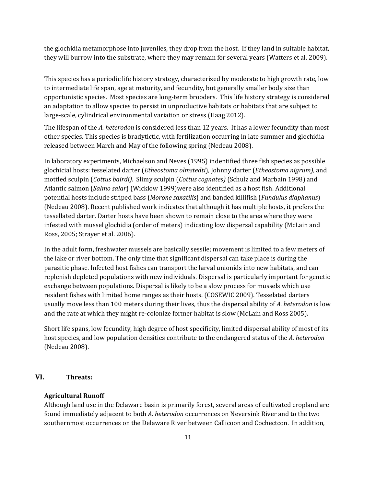the glochidia metamorphose into juveniles, they drop from the host. If they land in suitable habitat, they will burrow into the substrate, where they may remain for several years (Watters et al. 2009).

This species has a periodic life history strategy, characterized by moderate to high growth rate, low to intermediate life span, age at maturity, and fecundity, but generally smaller body size than opportunistic species. Most species are long-term brooders. This life history strategy is considered an adaptation to allow species to persist in unproductive habitats or habitats that are subject to large-scale, cylindrical environmental variation or stress (Haag 2012).

The lifespan of the *A. heterodon* is considered less than 12 years. It has a lower fecundity than most other species. This species is bradytictic, with fertilization occurring in late summer and glochidia released between March and May of the following spring (Nedeau 2008).

In laboratory experiments, Michaelson and Neves (1995) indentified three fish species as possible glochicial hosts: tesselated darter (*Etheostoma olmstedti*), Johnny darter (*Etheostoma nigrum)*, and mottled sculpin (*Cottus bairdi)*. Slimy sculpin (*Cottus cognates)* (Schulz and Marbain 1998) and Atlantic salmon (*Salmo salar*) (Wicklow 1999)were also identified as a host fish. Additional potential hosts include striped bass (*Morone saxatilis*) and banded killifish (*Fundulus diaphanus*) (Nedeau 2008). Recent published work indicates that although it has multiple hosts, it prefers the tessellated darter. Darter hosts have been shown to remain close to the area where they were infested with mussel glochidia (order of meters) indicating low dispersal capability (McLain and Ross, 2005; Strayer et al. 2006).

In the adult form, freshwater mussels are basically sessile; movement is limited to a few meters of the lake or river bottom. The only time that significant dispersal can take place is during the parasitic phase. Infected host fishes can transport the larval unionids into new habitats, and can replenish depleted populations with new individuals. Dispersal is particularly important for genetic exchange between populations. Dispersal is likely to be a slow process for mussels which use resident fishes with limited home ranges as their hosts. (COSEWIC 2009). Tesselated darters usually move less than 100 meters during their lives, thus the dispersal ability of *A. heterodon* is low and the rate at which they might re-colonize former habitat is slow (McLain and Ross 2005).

Short life spans, low fecundity, high degree of host specificity, limited dispersal ability of most of its host species, and low population densities contribute to the endangered status of the *A. heterodon* (Nedeau 2008).

## **VI. Threats:**

#### **Agricultural Runoff**

Although land use in the Delaware basin is primarily forest, several areas of cultivated cropland are found immediately adjacent to both *A. heterodon* occurrences on Neversink River and to the two southernmost occurrences on the Delaware River between Callicoon and Cochectcon. In addition,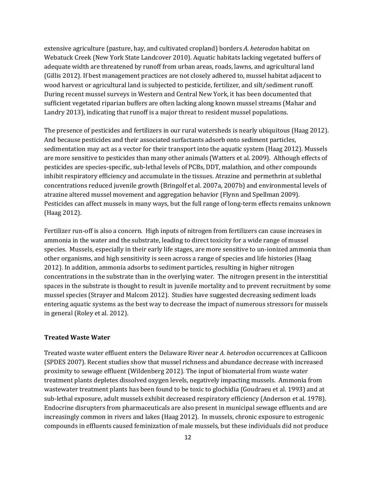extensive agriculture (pasture, hay, and cultivated cropland) borders *A. heterodon* habitat on Webatuck Creek (New York State Landcover 2010). Aquatic habitats lacking vegetated buffers of adequate width are threatened by runoff from urban areas, roads, lawns, and agricultural land (Gillis 2012). If best management practices are not closely adhered to, mussel habitat adjacent to wood harvest or agricultural land is subjected to pesticide, fertilizer, and silt/sediment runoff. During recent mussel surveys in Western and Central New York, it has been documented that sufficient vegetated riparian buffers are often lacking along known mussel streams (Mahar and Landry 2013), indicating that runoff is a major threat to resident mussel populations.

The presence of pesticides and fertilizers in our rural watersheds is nearly ubiquitous (Haag 2012). And because pesticides and their associated surfactants adsorb onto sediment particles, sedimentation may act as a vector for their transport into the aquatic system (Haag 2012). Mussels are more sensitive to pesticides than many other animals (Watters et al. 2009). Although effects of pesticides are species-specific, sub-lethal levels of PCBs, DDT, malathion, and other compounds inhibit respiratory efficiency and accumulate in the tissues. Atrazine and permethrin at sublethal concentrations reduced juvenile growth (Bringolf et al. 2007a, 2007b) and environmental levels of atrazine altered mussel movement and aggregation behavior (Flynn and Spellman 2009). Pesticides can affect mussels in many ways, but the full range of long-term effects remains unknown (Haag 2012).

Fertilizer run-off is also a concern. High inputs of nitrogen from fertilizers can cause increases in ammonia in the water and the substrate, leading to direct toxicity for a wide range of mussel species. Mussels, especially in their early life stages, are more sensitive to un-ionized ammonia than other organisms, and high sensitivity is seen across a range of species and life histories (Haag 2012). In addition, ammonia adsorbs to sediment particles, resulting in higher nitrogen concentrations in the substrate than in the overlying water. The nitrogen present in the interstitial spaces in the substrate is thought to result in juvenile mortality and to prevent recruitment by some mussel species (Strayer and Malcom 2012). Studies have suggested decreasing sediment loads entering aquatic systems as the best way to decrease the impact of numerous stressors for mussels in general (Roley et al. 2012).

### **Treated Waste Water**

Treated waste water effluent enters the Delaware River near *A. heterodon* occurrences at Callicoon (SPDES 2007). Recent studies show that mussel richness and abundance decrease with increased proximity to sewage effluent (Wildenberg 2012). The input of biomaterial from waste water treatment plants depletes dissolved oxygen levels, negatively impacting mussels. Ammonia from wastewater treatment plants has been found to be toxic to glochidia (Goudraeu et al. 1993) and at sub-lethal exposure, adult mussels exhibit decreased respiratory efficiency (Anderson et al*.* 1978). Endocrine disrupters from pharmaceuticals are also present in municipal sewage effluents and are increasingly common in rivers and lakes (Haag 2012). In mussels, chronic exposure to estrogenic compounds in effluents caused feminization of male mussels, but these individuals did not produce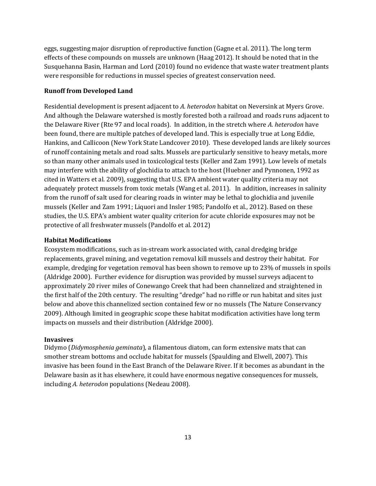eggs, suggesting major disruption of reproductive function (Gagne et al. 2011). The long term effects of these compounds on mussels are unknown (Haag 2012). It should be noted that in the Susquehanna Basin, Harman and Lord (2010) found no evidence that waste water treatment plants were responsible for reductions in mussel species of greatest conservation need.

## **Runoff from Developed Land**

Residential development is present adjacent to *A. heterodon* habitat on Neversink at Myers Grove. And although the Delaware watershed is mostly forested both a railroad and roads runs adjacent to the Delaware River (Rte 97 and local roads). In addition, in the stretch where *A. heterodon* have been found, there are multiple patches of developed land. This is especially true at Long Eddie, Hankins, and Callicoon (New York State Landcover 2010). These developed lands are likely sources of runoff containing metals and road salts. Mussels are particularly sensitive to heavy metals, more so than many other animals used in toxicological tests (Keller and Zam 1991). Low levels of metals may interfere with the ability of glochidia to attach to the host (Huebner and Pynnonen, 1992 as cited in Watters et al. 2009), suggesting that U.S. EPA ambient water quality criteria may not adequately protect mussels from toxic metals (Wang et al. 2011). In addition, increases in salinity from the runoff of salt used for clearing roads in winter may be lethal to glochidia and juvenile mussels (Keller and Zam 1991; Liquori and Insler 1985; Pandolfo et al., 2012). Based on these studies, the U.S. EPA's ambient water quality criterion for acute chloride exposures may not be protective of all freshwater mussels (Pandolfo et al. 2012)

### **Habitat Modifications**

Ecosystem modifications, such as in-stream work associated with, canal dredging bridge replacements, gravel mining, and vegetation removal kill mussels and destroy their habitat. For example, dredging for vegetation removal has been shown to remove up to 23% of mussels in spoils (Aldridge 2000). Further evidence for disruption was provided by mussel surveys adjacent to approximately 20 river miles of Conewango Creek that had been channelized and straightened in the first half of the 20th century. The resulting "dredge" had no riffle or run habitat and sites just below and above this channelized section contained few or no mussels (The Nature Conservancy 2009). Although limited in geographic scope these habitat modification activities have long term impacts on mussels and their distribution (Aldridge 2000).

#### **Invasives**

Didymo (*Didymosphenia geminata*), a filamentous diatom, can form extensive mats that can smother stream bottoms and occlude habitat for mussels (Spaulding and Elwell, 2007). This invasive has been found in the East Branch of the Delaware River. If it becomes as abundant in the Delaware basin as it has elsewhere, it could have enormous negative consequences for mussels, including *A. heterodon* populations (Nedeau 2008).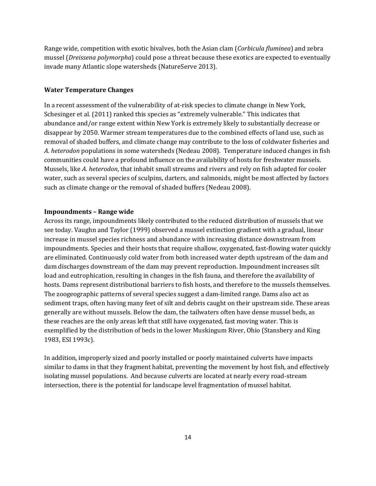Range wide, competition with exotic bivalves, both the Asian clam (*Corbicula fluminea*) and zebra mussel (*Dreissena polymorpha*) could pose a threat because these exotics are expected to eventually invade many Atlantic slope watersheds (NatureServe 2013).

#### **Water Temperature Changes**

In a recent assessment of the vulnerability of at-risk species to climate change in New York, Schesinger et al. (2011) ranked this species as "extremely vulnerable." This indicates that abundance and/or range extent within New York is extremely likely to substantially decrease or disappear by 2050. Warmer stream temperatures due to the combined effects of land use, such as removal of shaded buffers, and climate change may contribute to the loss of coldwater fisheries and *A. heterodon* populations in some watersheds (Nedeau 2008). Temperature induced changes in fish communities could have a profound influence on the availability of hosts for freshwater mussels. Mussels, like *A. heterodon*, that inhabit small streams and rivers and rely on fish adapted for cooler water, such as several species of sculpins, darters, and salmonids, might be most affected by factors such as climate change or the removal of shaded buffers (Nedeau 2008).

#### **Impoundments – Range wide**

Across its range, impoundments likely contributed to the reduced distribution of mussels that we see today. Vaughn and Taylor (1999) observed a mussel extinction gradient with a gradual, linear increase in mussel species richness and abundance with increasing distance downstream from impoundments. Species and their hosts that require shallow, oxygenated, fast-flowing water quickly are eliminated. Continuously cold water from both increased water depth upstream of the dam and dam discharges downstream of the dam may prevent reproduction. Impoundment increases silt load and eutrophication, resulting in changes in the fish fauna, and therefore the availability of hosts. Dams represent distributional barriers to fish hosts, and therefore to the mussels themselves. The zoogeographic patterns of several species suggest a dam-limited range. Dams also act as sediment traps, often having many feet of silt and debris caught on their upstream side. These areas generally are without mussels. Below the dam, the tailwaters often have dense mussel beds, as these reaches are the only areas left that still have oxygenated, fast moving water. This is exemplified by the distribution of beds in the lower Muskingum River, Ohio (Stansbery and King 1983, ESI 1993c).

In addition, improperly sized and poorly installed or poorly maintained culverts have impacts similar to dams in that they fragment habitat, preventing the movement by host fish, and effectively isolating mussel populations. And because culverts are located at nearly every road-stream intersection, there is the potential for landscape level fragmentation of mussel habitat.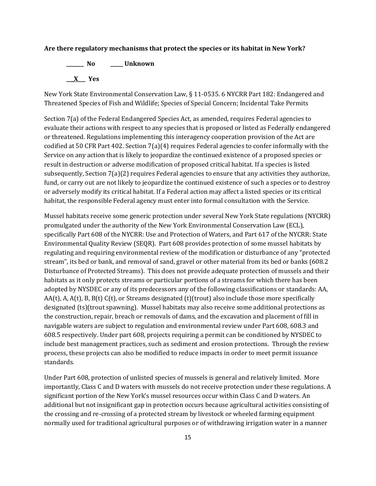#### **Are there regulatory mechanisms that protect the species or its habitat in New York?**

**\_\_\_\_\_\_\_ No \_\_\_\_\_ Unknown \_\_\_X\_\_\_ Yes** 

New York State Environmental Conservation Law, § 11-0535. 6 NYCRR Part 182: Endangered and Threatened Species of Fish and Wildlife; Species of Special Concern; Incidental Take Permits

Section 7(a) of the Federal Endangered Species Act, as amended, requires Federal agencies to evaluate their actions with respect to any species that is proposed or listed as Federally endangered or threatened. Regulations implementing this interagency cooperation provision of the Act are codified at 50 CFR Part 402. Section 7(a)(4) requires Federal agencies to confer informally with the Service on any action that is likely to jeopardize the continued existence of a proposed species or result in destruction or adverse modification of proposed critical habitat. If a species is listed subsequently, Section 7(a)(2) requires Federal agencies to ensure that any activities they authorize, fund, or carry out are not likely to jeopardize the continued existence of such a species or to destroy or adversely modify its critical habitat. If a Federal action may affect a listed species or its critical habitat, the responsible Federal agency must enter into formal consultation with the Service.

Mussel habitats receive some generic protection under several New York State regulations (NYCRR) promulgated under the authority of the New York Environmental Conservation Law (ECL), specifically Part 608 of the NYCRR: Use and Protection of Waters, and Part 617 of the NYCRR: State Environmental Quality Review (SEQR). Part 608 provides protection of some mussel habitats by regulating and requiring environmental review of the modification or disturbance of any "protected stream", its bed or bank, and removal of sand, gravel or other material from its bed or banks (608.2 Disturbance of Protected Streams). This does not provide adequate protection of mussels and their habitats as it only protects streams or particular portions of a streams for which there has been adopted by NYSDEC or any of its predecessors any of the following classifications or standards: AA,  $AA(t)$ , A,  $A(t)$ , B,  $B(t)$  C(t), or Streams designated (t)(trout) also include those more specifically designated (ts)(trout spawning). Mussel habitats may also receive some additional protections as the construction, repair, breach or removals of dams, and the excavation and placement of fill in navigable waters are subject to regulation and environmental review under Part 608, 608.3 and 608.5 respectively. Under part 608, projects requiring a permit can be conditioned by NYSDEC to include best management practices, such as sediment and erosion protections. Through the review process, these projects can also be modified to reduce impacts in order to meet permit issuance standards.

Under Part 608, protection of unlisted species of mussels is general and relatively limited. More importantly, Class C and D waters with mussels do not receive protection under these regulations. A significant portion of the New York's mussel resources occur within Class C and D waters. An additional but not insignificant gap in protection occurs because agricultural activities consisting of the crossing and re-crossing of a protected stream by livestock or wheeled farming equipment normally used for traditional agricultural purposes or of withdrawing irrigation water in a manner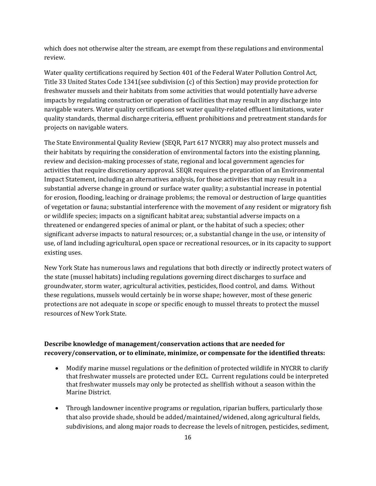which does not otherwise alter the stream, are exempt from these regulations and environmental review.

Water quality certifications required by Section 401 of the Federal Water Pollution Control Act, Title 33 United States Code 1341(see subdivision (c) of this Section) may provide protection for freshwater mussels and their habitats from some activities that would potentially have adverse impacts by regulating construction or operation of facilities that may result in any discharge into navigable waters. Water quality certifications set water quality-related effluent limitations, water quality standards, thermal discharge criteria, effluent prohibitions and pretreatment standards for projects on navigable waters.

The State Environmental Quality Review (SEQR, Part 617 NYCRR) may also protect mussels and their habitats by requiring the consideration of environmental factors into the existing planning, review and decision-making processes of state, regional and local government agencies for activities that require discretionary approval. SEQR requires the preparation of an Environmental Impact Statement, including an alternatives analysis, for those activities that may result in a substantial adverse change in ground or surface water quality; a substantial increase in potential for erosion, flooding, leaching or drainage problems; the removal or destruction of large quantities of vegetation or fauna; substantial interference with the movement of any resident or migratory fish or wildlife species; impacts on a significant habitat area; substantial adverse impacts on a threatened or endangered species of animal or plant, or the habitat of such a species; other significant adverse impacts to natural resources; or, a substantial change in the use, or intensity of use, of land including agricultural, open space or recreational resources, or in its capacity to support existing uses.

New York State has numerous laws and regulations that both directly or indirectly protect waters of the state (mussel habitats) including regulations governing direct discharges to surface and groundwater, storm water, agricultural activities, pesticides, flood control, and dams. Without these regulations, mussels would certainly be in worse shape; however, most of these generic protections are not adequate in scope or specific enough to mussel threats to protect the mussel resources of New York State.

# **Describe knowledge of management/conservation actions that are needed for recovery/conservation, or to eliminate, minimize, or compensate for the identified threats:**

- Modify marine mussel regulations or the definition of protected wildlife in NYCRR to clarify that freshwater mussels are protected under ECL. Current regulations could be interpreted that freshwater mussels may only be protected as shellfish without a season within the Marine District.
- Through landowner incentive programs or regulation, riparian buffers, particularly those that also provide shade, should be added/maintained/widened, along agricultural fields, subdivisions, and along major roads to decrease the levels of nitrogen, pesticides, sediment,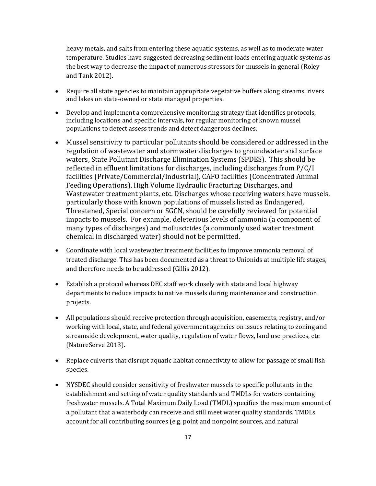heavy metals, and salts from entering these aquatic systems, as well as to moderate water temperature. Studies have suggested decreasing sediment loads entering aquatic systems as the best way to decrease the impact of numerous stressors for mussels in general (Roley and Tank 2012).

- Require all state agencies to maintain appropriate vegetative buffers along streams, rivers and lakes on state-owned or state managed properties.
- Develop and implement a comprehensive monitoring strategy that identifies protocols, including locations and specific intervals, for regular monitoring of known mussel populations to detect assess trends and detect dangerous declines.
- Mussel sensitivity to particular pollutants should be considered or addressed in the regulation of wastewater and stormwater discharges to groundwater and surface waters, State Pollutant Discharge Elimination Systems (SPDES). This should be reflected in effluent limitations for discharges, including discharges from P/C/I facilities (Private/Commercial/Industrial), CAFO facilities (Concentrated Animal Feeding Operations), High Volume Hydraulic Fracturing Discharges, and Wastewater treatment plants, etc. Discharges whose receiving waters have mussels, particularly those with known populations of mussels listed as Endangered, Threatened, Special concern or SGCN, should be carefully reviewed for potential impacts to mussels. For example, deleterious levels of ammonia (a component of many types of discharges) and molluscicides (a commonly used water treatment chemical in discharged water) should not be permitted.
- Coordinate with local wastewater treatment facilities to improve ammonia removal of treated discharge. This has been documented as a threat to Unionids at multiple life stages, and therefore needs to be addressed (Gillis 2012).
- Establish a protocol whereas DEC staff work closely with state and local highway departments to reduce impacts to native mussels during maintenance and construction projects.
- All populations should receive protection through acquisition, easements, registry, and/or working with local, state, and federal government agencies on issues relating to zoning and streamside development, water quality, regulation of water flows, land use practices, etc (NatureServe 2013).
- Replace culverts that disrupt aquatic habitat connectivity to allow for passage of small fish species.
- NYSDEC should consider sensitivity of freshwater mussels to specific pollutants in the establishment and setting of water quality standards and TMDLs for waters containing freshwater mussels. A Total Maximum Daily Load (TMDL) specifies the maximum amount of a pollutant that a waterbody can receive and still meet water quality standards. TMDLs account for all contributing sources (e.g. point and nonpoint sources, and natural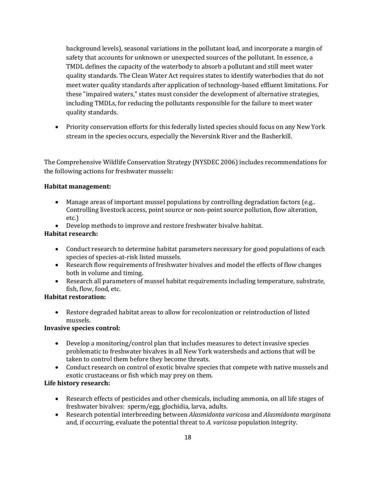background levels), seasonal variations in the pollutant load, and incorporate a margin of safety that accounts for unknown or unexpected sources of the pollutant. In essence, a TMDL defines the capacity of the waterbody to absorb a pollutant and still meet water quality standards. The Clean Water Act requires states to identify waterbodies that do not meet water quality standards after application of technology-based effluent limitations. For these "impaired waters," states must consider the development of alternative strategies, including TMDLs, for reducing the pollutants responsible for the failure to meet water quality standards.

• Priority conservation efforts for this federally listed species should focus on any New York stream in the species occurs, especially the Neversink River and the Basherkill.

The Comprehensive Wildlife Conservation Strategy (NYSDEC 2006) includes recommendations for the following actions for freshwater mussels:

## **Habitat management:**

- Manage areas of important mussel populations by controlling degradation factors (e.g..) Controlling livestock access, point source or non-point source pollution, flow alteration, etc.)
- Develop methods to improve and restore freshwater bivalve habitat.

# **Habitat research:**

- Conduct research to determine habitat parameters necessary for good populations of each species of species-at-risk listed mussels.
- Research flow requirements of freshwater bivalves and model the effects of flow changes both in volume and timing.
- Research all parameters of mussel habitat requirements including temperature, substrate, fish, flow, food, etc.

# **Habitat restoration:**

• Restore degraded habitat areas to allow for recolonization or reintroduction of listed mussels.

# **Invasive species control:**

- Develop a monitoring/control plan that includes measures to detect invasive species problematic to freshwater bivalves in all New York watersheds and actions that will be taken to control them before they become threats.
- Conduct research on control of exotic bivalve species that compete with native mussels and exotic crustaceans or fish which may prey on them.

# **Life history research:**

- Research effects of pesticides and other chemicals, including ammonia, on all life stages of freshwater bivalves: sperm/egg, glochidia, larva, adults.
- Research potential interbreeding between *Alasmidonta varicosa* and *Alasmidonta marginata* and, if occurring, evaluate the potential threat to *A. varicosa* population integrity.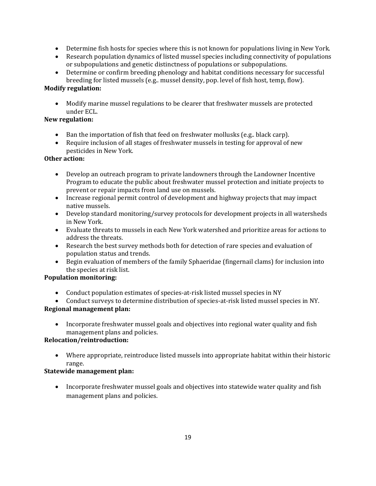- Determine fish hosts for species where this is not known for populations living in New York.
- Research population dynamics of listed mussel species including connectivity of populations or subpopulations and genetic distinctness of populations or subpopulations.
- Determine or confirm breeding phenology and habitat conditions necessary for successful breeding for listed mussels (e.g.. mussel density, pop. level of fish host, temp, flow).

# **Modify regulation:**

• Modify marine mussel regulations to be clearer that freshwater mussels are protected under ECL.

# **New regulation:**

- Ban the importation of fish that feed on freshwater mollusks (e.g.. black carp).
- Require inclusion of all stages of freshwater mussels in testing for approval of new pesticides in New York*.*

# **Other action:**

- Develop an outreach program to private landowners through the Landowner Incentive Program to educate the public about freshwater mussel protection and initiate projects to prevent or repair impacts from land use on mussels.
- Increase regional permit control of development and highway projects that may impact native mussels.
- Develop standard monitoring/survey protocols for development projects in all watersheds in New York.
- Evaluate threats to mussels in each New York watershed and prioritize areas for actions to address the threats.
- Research the best survey methods both for detection of rare species and evaluation of population status and trends.
- Begin evaluation of members of the family Sphaeridae (fingernail clams) for inclusion into the species at risk list.

# **Population monitoring:**

• Conduct population estimates of species-at-risk listed mussel species in NY

• Conduct surveys to determine distribution of species-at-risk listed mussel species in NY. **Regional management plan:**

• Incorporate freshwater mussel goals and objectives into regional water quality and fish management plans and policies.

# **Relocation/reintroduction:**

• Where appropriate, reintroduce listed mussels into appropriate habitat within their historic range.

# **Statewide management plan:**

• Incorporate freshwater mussel goals and objectives into statewide water quality and fish management plans and policies.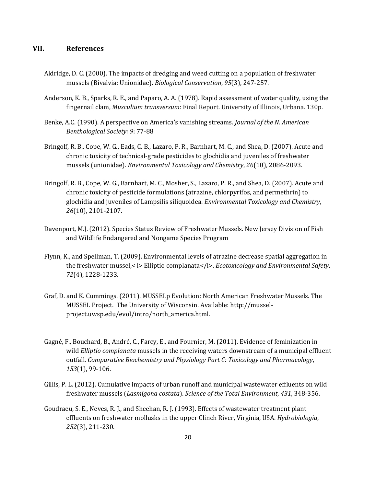## **VII. References**

- Aldridge, D. C. (2000). The impacts of dredging and weed cutting on a population of freshwater mussels (Bivalvia: Unionidae). *Biological Conservation*, *95*(3), 247-257.
- Anderson, K. B., Sparks, R. E., and Paparo, A. A. (1978). Rapid assessment of water quality, using the fingernail clam, *Musculium transversum*: Final Report. University of Illinois, Urbana. 130p.
- Benke, A.C. (1990). A perspective on America's vanishing streams. *Journal of the N. American Benthological Society: 9*: 77-88
- Bringolf, R. B., Cope, W. G., Eads, C. B., Lazaro, P. R., Barnhart, M. C., and Shea, D. (2007). Acute and chronic toxicity of technical‐grade pesticides to glochidia and juveniles of freshwater mussels (unionidae). *Environmental Toxicology and Chemistry*, *26*(10), 2086-2093.
- Bringolf, R. B., Cope, W. G., Barnhart, M. C., Mosher, S., Lazaro, P. R., and Shea, D. (2007). Acute and chronic toxicity of pesticide formulations (atrazine, chlorpyrifos, and permethrin) to glochidia and juveniles of Lampsilis siliquoidea. *Environmental Toxicology and Chemistry*, *26*(10), 2101-2107.
- Davenport, M.J. (2012). Species Status Review of Freshwater Mussels. New Jersey Division of Fish and Wildlife Endangered and Nongame Species Program
- Flynn, K., and Spellman, T. (2009). Environmental levels of atrazine decrease spatial aggregation in the freshwater mussel,<i> Elliptio complanata</i>*Ecotoxicology and Environmental Safety*, *72*(4), 1228-1233.
- Graf, D. and K. Cummings. (2011). MUSSELp Evolution: North American Freshwater Mussels. The MUSSEL Project. The University of Wisconsin. Available: [http://mussel](http://mussel-project.uwsp.edu/evol/intro/north_america.html)[project.uwsp.edu/evol/intro/north\\_america.html.](http://mussel-project.uwsp.edu/evol/intro/north_america.html)
- Gagné, F., Bouchard, B., André, C., Farcy, E., and Fournier, M. (2011). Evidence of feminization in wild *Elliptio complanata* mussels in the receiving waters downstream of a municipal effluent outfall. *Comparative Biochemistry and Physiology Part C: Toxicology and Pharmacology*, *153*(1), 99-106.
- Gillis, P. L. (2012). Cumulative impacts of urban runoff and municipal wastewater effluents on wild freshwater mussels (*Lasmigona costata*). *Science of the Total Environment*, *431*, 348-356.
- Goudraeu, S. E., Neves, R. J., and Sheehan, R. J. (1993). Effects of wastewater treatment plant effluents on freshwater mollusks in the upper Clinch River, Virginia, USA. *Hydrobiologia*, *252*(3), 211-230.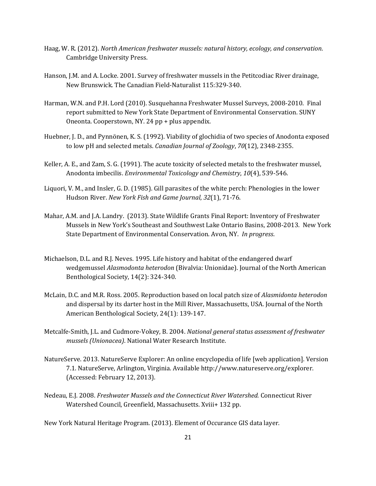- Haag, W. R. (2012). *North American freshwater mussels: natural history, ecology, and conservation*. Cambridge University Press.
- Hanson, J.M. and A. Locke. 2001. Survey of freshwater mussels in the Petitcodiac River drainage, New Brunswick. The Canadian Field-Naturalist 115:329-340.
- Harman, W.N. and P.H. Lord (2010). Susquehanna Freshwater Mussel Surveys, 2008-2010. Final report submitted to New York State Department of Environmental Conservation. SUNY Oneonta. Cooperstown, NY. 24 pp + plus appendix.
- Huebner, J. D., and Pynnönen, K. S. (1992). Viability of glochidia of two species of Anodonta exposed to low pH and selected metals. *Canadian Journal of Zoology*, *70*(12), 2348-2355.
- Keller, A. E., and Zam, S. G. (1991). The acute toxicity of selected metals to the freshwater mussel, Anodonta imbecilis. *Environmental Toxicology and Chemistry*, *10*(4), 539-546.
- Liquori, V. M., and Insler, G. D. (1985). Gill parasites of the white perch: Phenologies in the lower Hudson River. *New York Fish and Game Journal*, *32*(1), 71-76.
- Mahar, A.M. and J.A. Landry. (2013). State Wildlife Grants Final Report: Inventory of Freshwater Mussels in New York's Southeast and Southwest Lake Ontario Basins, 2008-2013. New York State Department of Environmental Conservation. Avon, NY. *In progress*.
- Michaelson, D.L. and R.J. Neves. 1995. Life history and habitat of the endangered dwarf wedgemussel *Alasmodonta heterodon* (Bivalvia: Unionidae). Journal of the North American Benthological Society, 14(2): 324-340.
- McLain, D.C. and M.R. Ross. 2005. Reproduction based on local patch size of *Alasmidonta heterodon* and dispersal by its darter host in the Mill River, Massachusetts, USA. Journal of the North American Benthological Society, 24(1): 139-147.
- Metcalfe-Smith, J.L. and Cudmore-Vokey, B. 2004. *National general status assessment of freshwater mussels (Unionacea)*. National Water Research Institute.
- NatureServe. 2013. NatureServe Explorer: An online encyclopedia of life [web application]. Version 7.1. NatureServe, Arlington, Virginia. Available http://www.natureserve.org/explorer. (Accessed: February 12, 2013).
- Nedeau, E.J. 2008. *Freshwater Mussels and the Connecticut River Watershed.* Connecticut River Watershed Council, Greenfield, Massachusetts. Xviii+ 132 pp.

New York Natural Heritage Program. (2013). Element of Occurance GIS data layer.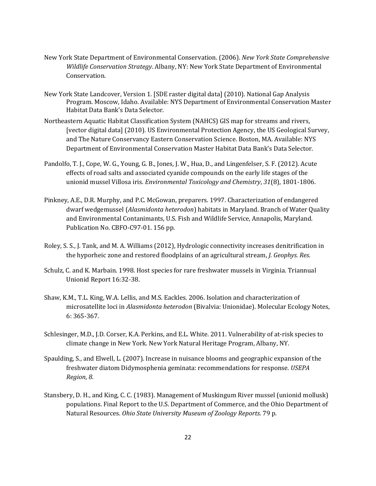- New York State Department of Environmental Conservation. (2006). *New York State Comprehensive Wildlife Conservation Strategy*. Albany, NY: New York State Department of Environmental Conservation.
- New York State Landcover, Version 1. [SDE raster digital data] (2010). National Gap Analysis Program. Moscow, Idaho. Available: NYS Department of Environmental Conservation Master Habitat Data Bank's Data Selector.
- Northeastern Aquatic Habitat Classification System (NAHCS) GIS map for streams and rivers, [vector digital data] (2010). US Environmental Protection Agency, the US Geological Survey, and The Nature Conservancy Eastern Conservation Science. Boston, MA. Available: NYS Department of Environmental Conservation Master Habitat Data Bank's Data Selector.
- Pandolfo, T. J., Cope, W. G., Young, G. B., Jones, J. W., Hua, D., and Lingenfelser, S. F. (2012). Acute effects of road salts and associated cyanide compounds on the early life stages of the unionid mussel Villosa iris. *Environmental Toxicology and Chemistry*, *31*(8), 1801-1806.
- Pinkney, A.E., D.R. Murphy, and P.C. McGowan, preparers. 1997. Characterization of endangered dwarf wedgemussel (*Alasmidonta heterodon*) habitats in Maryland. Branch of Water Quality and Environmental Contanimants, U.S. Fish and Wildlife Service, Annapolis, Maryland. Publication No. CBFO-C97-01. 156 pp.
- Roley, S. S., J. Tank, and M. A. Williams (2012), Hydrologic connectivity increases denitrification in the hyporheic zone and restored floodplains of an agricultural stream, *J. Geophys. Res.*
- Schulz, C. and K. Marbain. 1998. Host species for rare freshwater mussels in Virginia. Triannual Unionid Report 16:32-38.
- Shaw, K.M., T.L. King, W.A. Lellis, and M.S. Eackles. 2006. Isolation and characterization of microsatellite loci in *Alasmidonta heterodon* (Bivalvia: Unionidae). Molecular Ecology Notes, 6: 365-367.
- Schlesinger, M.D., J.D. Corser, K.A. Perkins, and E.L. White. 2011. Vulnerability of at-risk species to climate change in New York. New York Natural Heritage Program, Albany, NY.
- Spaulding, S., and Elwell, L. (2007). Increase in nuisance blooms and geographic expansion of the freshwater diatom Didymosphenia geminata: recommendations for response. *USEPA Region*, *8*.
- Stansbery, D. H., and King, C. C. (1983). Management of Muskingum River mussel (unionid mollusk) populations. Final Report to the U.S. Department of Commerce, and the Ohio Department of Natural Resources. *Ohio State University Museum of Zoology Reports*. 79 p.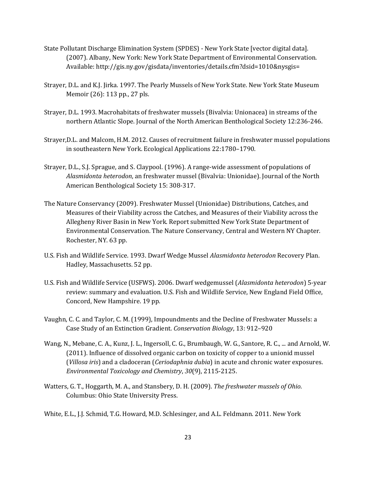- State Pollutant Discharge Elimination System (SPDES) New York State [vector digital data]. (2007). Albany, New York: New York State Department of Environmental Conservation. Available[: http://gis.ny.gov/gisdata/inventories/details.cfm?dsid=1010&nysgis=](http://gis.ny.gov/gisdata/inventories/details.cfm?dsid=1010&nysgis)
- Strayer, D.L. and K.J. Jirka. 1997. The Pearly Mussels of New York State. New York State Museum Memoir (26): 113 pp., 27 pls.
- Strayer, D.L. 1993. Macrohabitats of freshwater mussels (Bivalvia: Unionacea) in streams of the northern Atlantic Slope. Journal of the North American Benthological Society 12:236-246.
- Strayer,D.L. and Malcom, H.M. 2012. Causes of recruitment failure in freshwater mussel populations in southeastern New York. Ecological Applications 22:1780–1790.
- Strayer, D.L., S.J. Sprague, and S. Claypool. (1996). A range-wide assessment of populations of *Alasmidonta heterodon*, an freshwater mussel (Bivalvia: Unionidae). Journal of the North American Benthological Society 15: 308-317.
- The Nature Conservancy (2009). Freshwater Mussel (Unionidae) Distributions, Catches, and Measures of their Viability across the Catches, and Measures of their Viability across the Allegheny River Basin in New York. Report submitted New York State Department of Environmental Conservation. The Nature Conservancy, Central and Western NY Chapter. Rochester, NY. 63 pp.
- U.S. Fish and Wildlife Service. 1993. Dwarf Wedge Mussel *Alasmidonta heterodon* Recovery Plan. Hadley, Massachusetts. 52 pp.
- U.S. Fish and Wildlife Service (USFWS). 2006. Dwarf wedgemussel (*Alasmidonta heterodon*) 5-year review: summary and evaluation. U.S. Fish and Wildlife Service, New England Field Office, Concord, New Hampshire. 19 pp.
- Vaughn, C. C. and Taylor, C. M. (1999), Impoundments and the Decline of Freshwater Mussels: a Case Study of an Extinction Gradient. *Conservation Biology*, 13: 912–920
- Wang, N., Mebane, C. A., Kunz, J. L., Ingersoll, C. G., Brumbaugh, W. G., Santore, R. C., ... and Arnold, W. (2011). Influence of dissolved organic carbon on toxicity of copper to a unionid mussel (*Villosa iris*) and a cladoceran (*Ceriodaphnia dubia*) in acute and chronic water exposures. *Environmental Toxicology and Chemistry*, *30*(9), 2115-2125.
- Watters, G. T., Hoggarth, M. A., and Stansbery, D. H. (2009). *The freshwater mussels of Ohio*. Columbus: Ohio State University Press.
- White, E.L., J.J. Schmid, T.G. Howard, M.D. Schlesinger, and A.L. Feldmann. 2011. New York